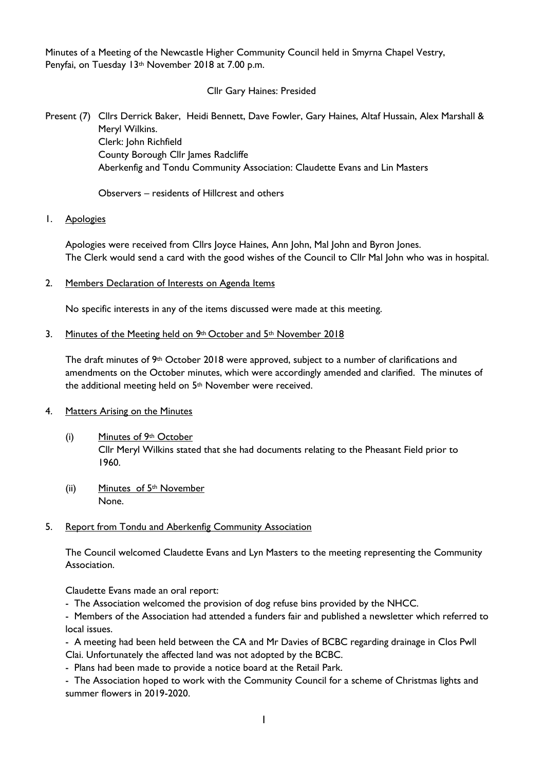Minutes of a Meeting of the Newcastle Higher Community Council held in Smyrna Chapel Vestry, Penyfai, on Tuesday 13<sup>th</sup> November 2018 at 7.00 p.m.

Cllr Gary Haines: Presided

Present (7) Cllrs Derrick Baker, Heidi Bennett, Dave Fowler, Gary Haines, Altaf Hussain, Alex Marshall & Meryl Wilkins. Clerk: John Richfield County Borough Cllr James Radcliffe

Aberkenfig and Tondu Community Association: Claudette Evans and Lin Masters

Observers – residents of Hillcrest and others

### 1. Apologies

Apologies were received from Cllrs Joyce Haines, Ann John, Mal John and Byron Jones. The Clerk would send a card with the good wishes of the Council to Cllr Mal John who was in hospital.

2. Members Declaration of Interests on Agenda Items

No specific interests in any of the items discussed were made at this meeting.

### 3. Minutes of the Meeting held on 9th October and 5th November 2018

The draft minutes of 9<sup>th</sup> October 2018 were approved, subject to a number of clarifications and amendments on the October minutes, which were accordingly amended and clarified. The minutes of the additional meeting held on 5th November were received.

#### 4. Matters Arising on the Minutes

- (i) Minutes of 9th October Cllr Meryl Wilkins stated that she had documents relating to the Pheasant Field prior to 1960.
- (ii) Minutes of 5th November None.

#### 5. Report from Tondu and Aberkenfig Community Association

The Council welcomed Claudette Evans and Lyn Masters to the meeting representing the Community Association.

Claudette Evans made an oral report:

- The Association welcomed the provision of dog refuse bins provided by the NHCC.

- Members of the Association had attended a funders fair and published a newsletter which referred to local issues.

- A meeting had been held between the CA and Mr Davies of BCBC regarding drainage in Clos Pwll Clai. Unfortunately the affected land was not adopted by the BCBC.

- Plans had been made to provide a notice board at the Retail Park.

- The Association hoped to work with the Community Council for a scheme of Christmas lights and summer flowers in 2019-2020.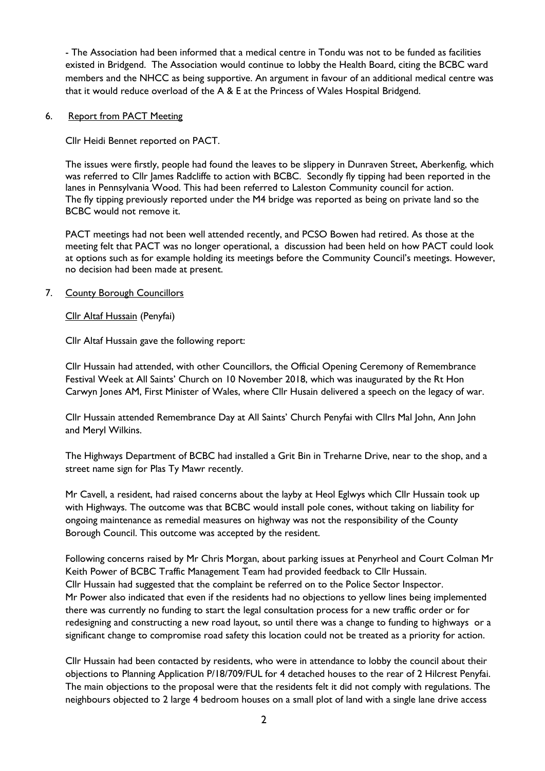- The Association had been informed that a medical centre in Tondu was not to be funded as facilities existed in Bridgend. The Association would continue to lobby the Health Board, citing the BCBC ward members and the NHCC as being supportive. An argument in favour of an additional medical centre was that it would reduce overload of the A & E at the Princess of Wales Hospital Bridgend.

#### 6. Report from PACT Meeting

Cllr Heidi Bennet reported on PACT.

The issues were firstly, people had found the leaves to be slippery in Dunraven Street, Aberkenfig, which was referred to Cllr James Radcliffe to action with BCBC. Secondly fly tipping had been reported in the lanes in Pennsylvania Wood. This had been referred to Laleston Community council for action. The fly tipping previously reported under the M4 bridge was reported as being on private land so the BCBC would not remove it.

PACT meetings had not been well attended recently, and PCSO Bowen had retired. As those at the meeting felt that PACT was no longer operational, a discussion had been held on how PACT could look at options such as for example holding its meetings before the Community Council's meetings. However, no decision had been made at present.

### 7. County Borough Councillors

Cllr Altaf Hussain (Penyfai)

Cllr Altaf Hussain gave the following report:

Cllr Hussain had attended, with other Councillors, the Official Opening Ceremony of Remembrance Festival Week at All Saints' Church on 10 November 2018, which was inaugurated by the Rt Hon Carwyn Jones AM, First Minister of Wales, where Cllr Husain delivered a speech on the legacy of war.

Cllr Hussain attended Remembrance Day at All Saints' Church Penyfai with Cllrs Mal John, Ann John and Meryl Wilkins.

The Highways Department of BCBC had installed a Grit Bin in Treharne Drive, near to the shop, and a street name sign for Plas Ty Mawr recently.

Mr Cavell, a resident, had raised concerns about the layby at Heol Eglwys which Cllr Hussain took up with Highways. The outcome was that BCBC would install pole cones, without taking on liability for ongoing maintenance as remedial measures on highway was not the responsibility of the County Borough Council. This outcome was accepted by the resident.

Following concerns raised by Mr Chris Morgan, about parking issues at Penyrheol and Court Colman Mr Keith Power of BCBC Traffic Management Team had provided feedback to Cllr Hussain. Cllr Hussain had suggested that the complaint be referred on to the Police Sector Inspector. Mr Power also indicated that even if the residents had no objections to yellow lines being implemented there was currently no funding to start the legal consultation process for a new traffic order or for redesigning and constructing a new road layout, so until there was a change to funding to highways or a significant change to compromise road safety this location could not be treated as a priority for action.

Cllr Hussain had been contacted by residents, who were in attendance to lobby the council about their objections to Planning Application P/18/709/FUL for 4 detached houses to the rear of 2 Hilcrest Penyfai. The main objections to the proposal were that the residents felt it did not comply with regulations. The neighbours objected to 2 large 4 bedroom houses on a small plot of land with a single lane drive access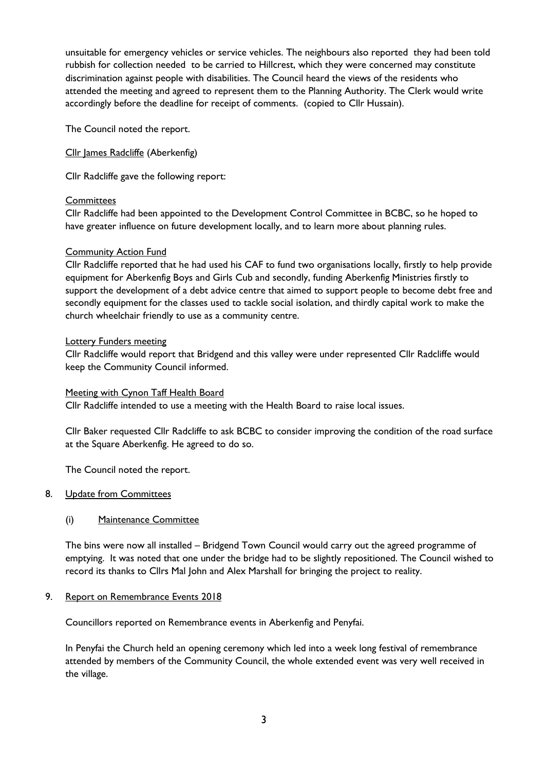unsuitable for emergency vehicles or service vehicles. The neighbours also reported they had been told rubbish for collection needed to be carried to Hillcrest, which they were concerned may constitute discrimination against people with disabilities. The Council heard the views of the residents who attended the meeting and agreed to represent them to the Planning Authority. The Clerk would write accordingly before the deadline for receipt of comments. (copied to Cllr Hussain).

The Council noted the report.

Cllr James Radcliffe (Aberkenfig)

Cllr Radcliffe gave the following report:

### **Committees**

Cllr Radcliffe had been appointed to the Development Control Committee in BCBC, so he hoped to have greater influence on future development locally, and to learn more about planning rules.

### Community Action Fund

Cllr Radcliffe reported that he had used his CAF to fund two organisations locally, firstly to help provide equipment for Aberkenfig Boys and Girls Cub and secondly, funding Aberkenfig Ministries firstly to support the development of a debt advice centre that aimed to support people to become debt free and secondly equipment for the classes used to tackle social isolation, and thirdly capital work to make the church wheelchair friendly to use as a community centre.

#### Lottery Funders meeting

Cllr Radcliffe would report that Bridgend and this valley were under represented Cllr Radcliffe would keep the Community Council informed.

#### Meeting with Cynon Taff Health Board

Cllr Radcliffe intended to use a meeting with the Health Board to raise local issues.

Cllr Baker requested Cllr Radcliffe to ask BCBC to consider improving the condition of the road surface at the Square Aberkenfig. He agreed to do so.

The Council noted the report.

#### 8. Update from Committees

### (i) Maintenance Committee

The bins were now all installed – Bridgend Town Council would carry out the agreed programme of emptying. It was noted that one under the bridge had to be slightly repositioned. The Council wished to record its thanks to Cllrs Mal John and Alex Marshall for bringing the project to reality.

### 9. Report on Remembrance Events 2018

Councillors reported on Remembrance events in Aberkenfig and Penyfai.

In Penyfai the Church held an opening ceremony which led into a week long festival of remembrance attended by members of the Community Council, the whole extended event was very well received in the village.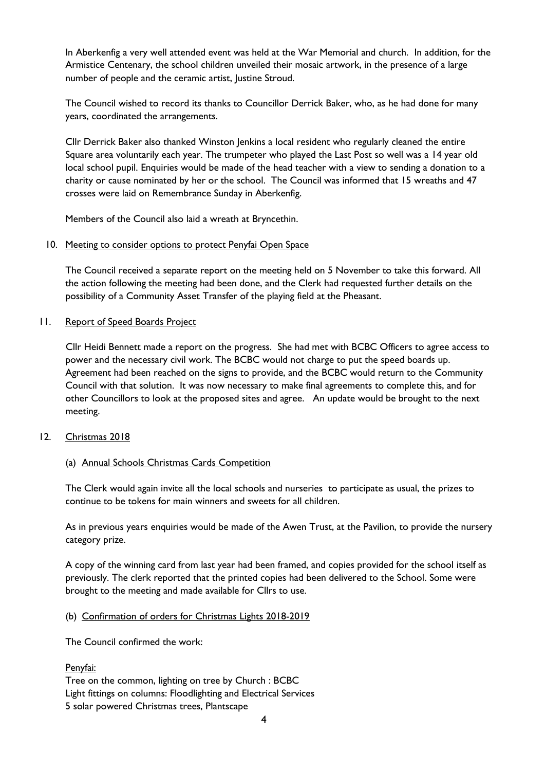In Aberkenfig a very well attended event was held at the War Memorial and church. In addition, for the Armistice Centenary, the school children unveiled their mosaic artwork, in the presence of a large number of people and the ceramic artist, Justine Stroud.

The Council wished to record its thanks to Councillor Derrick Baker, who, as he had done for many years, coordinated the arrangements.

Cllr Derrick Baker also thanked Winston Jenkins a local resident who regularly cleaned the entire Square area voluntarily each year. The trumpeter who played the Last Post so well was a 14 year old local school pupil. Enquiries would be made of the head teacher with a view to sending a donation to a charity or cause nominated by her or the school. The Council was informed that 15 wreaths and 47 crosses were laid on Remembrance Sunday in Aberkenfig.

Members of the Council also laid a wreath at Bryncethin.

#### 10. Meeting to consider options to protect Penyfai Open Space

The Council received a separate report on the meeting held on 5 November to take this forward. All the action following the meeting had been done, and the Clerk had requested further details on the possibility of a Community Asset Transfer of the playing field at the Pheasant.

### 11. Report of Speed Boards Project

Cllr Heidi Bennett made a report on the progress. She had met with BCBC Officers to agree access to power and the necessary civil work. The BCBC would not charge to put the speed boards up. Agreement had been reached on the signs to provide, and the BCBC would return to the Community Council with that solution. It was now necessary to make final agreements to complete this, and for other Councillors to look at the proposed sites and agree. An update would be brought to the next meeting.

#### 12. Christmas 2018

### (a) Annual Schools Christmas Cards Competition

The Clerk would again invite all the local schools and nurseries to participate as usual, the prizes to continue to be tokens for main winners and sweets for all children.

As in previous years enquiries would be made of the Awen Trust, at the Pavilion, to provide the nursery category prize.

A copy of the winning card from last year had been framed, and copies provided for the school itself as previously. The clerk reported that the printed copies had been delivered to the School. Some were brought to the meeting and made available for Cllrs to use.

#### (b) Confirmation of orders for Christmas Lights 2018-2019

The Council confirmed the work:

### Penyfai:

Tree on the common, lighting on tree by Church : BCBC Light fittings on columns: Floodlighting and Electrical Services 5 solar powered Christmas trees, Plantscape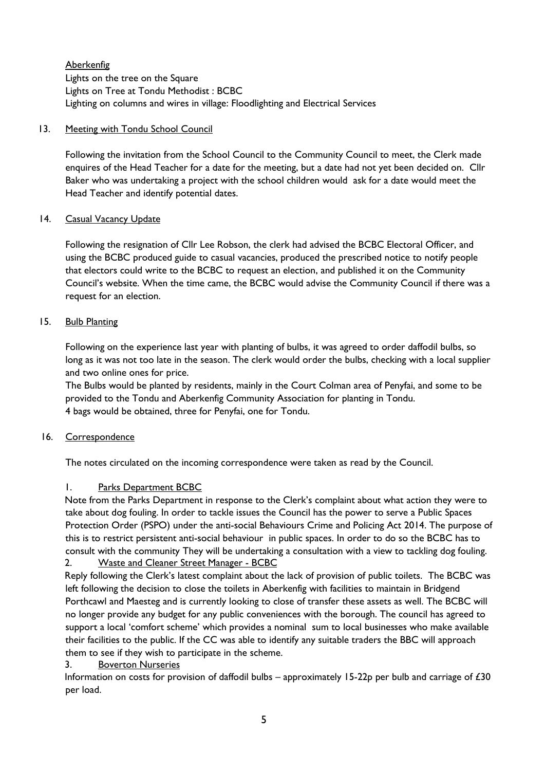**Aberkenfig** Lights on the tree on the Square Lights on Tree at Tondu Methodist : BCBC Lighting on columns and wires in village: Floodlighting and Electrical Services

### 13. Meeting with Tondu School Council

Following the invitation from the School Council to the Community Council to meet, the Clerk made enquires of the Head Teacher for a date for the meeting, but a date had not yet been decided on. Cllr Baker who was undertaking a project with the school children would ask for a date would meet the Head Teacher and identify potential dates.

### 14. Casual Vacancy Update

Following the resignation of Cllr Lee Robson, the clerk had advised the BCBC Electoral Officer, and using the BCBC produced guide to casual vacancies, produced the prescribed notice to notify people that electors could write to the BCBC to request an election, and published it on the Community Council's website. When the time came, the BCBC would advise the Community Council if there was a request for an election.

### 15. Bulb Planting

Following on the experience last year with planting of bulbs, it was agreed to order daffodil bulbs, so long as it was not too late in the season. The clerk would order the bulbs, checking with a local supplier and two online ones for price.

The Bulbs would be planted by residents, mainly in the Court Colman area of Penyfai, and some to be provided to the Tondu and Aberkenfig Community Association for planting in Tondu. 4 bags would be obtained, three for Penyfai, one for Tondu.

#### 16. Correspondence

The notes circulated on the incoming correspondence were taken as read by the Council.

### 1. Parks Department BCBC

Note from the Parks Department in response to the Clerk's complaint about what action they were to take about dog fouling. In order to tackle issues the Council has the power to serve a Public Spaces Protection Order (PSPO) under the anti-social Behaviours Crime and Policing Act 2014. The purpose of this is to restrict persistent anti-social behaviour in public spaces. In order to do so the BCBC has to consult with the community They will be undertaking a consultation with a view to tackling dog fouling. 2. Waste and Cleaner Street Manager - BCBC

Reply following the Clerk's latest complaint about the lack of provision of public toilets. The BCBC was left following the decision to close the toilets in Aberkenfig with facilities to maintain in Bridgend Porthcawl and Maesteg and is currently looking to close of transfer these assets as well. The BCBC will no longer provide any budget for any public conveniences with the borough. The council has agreed to support a local 'comfort scheme' which provides a nominal sum to local businesses who make available their facilities to the public. If the CC was able to identify any suitable traders the BBC will approach them to see if they wish to participate in the scheme.

### 3. Boverton Nurseries

Information on costs for provision of daffodil bulbs – approximately 15-22p per bulb and carriage of £30 per load.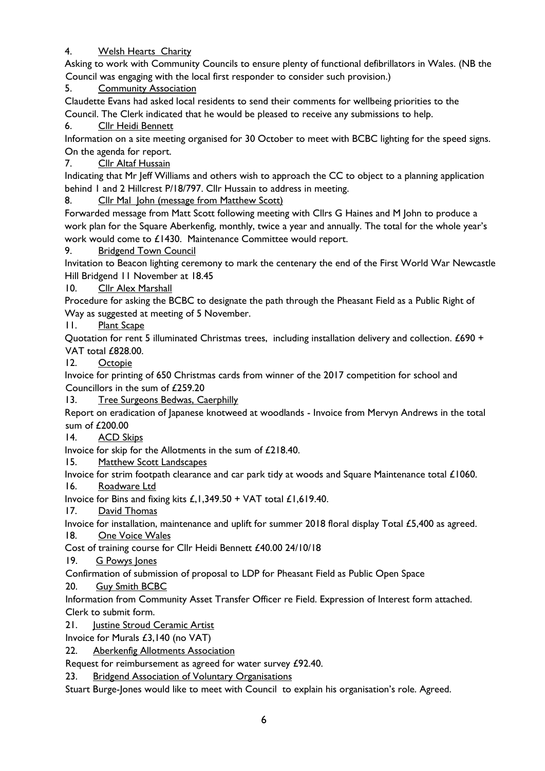# 4. Welsh Hearts Charity

Asking to work with Community Councils to ensure plenty of functional defibrillators in Wales. (NB the Council was engaging with the local first responder to consider such provision.)

5. Community Association

Claudette Evans had asked local residents to send their comments for wellbeing priorities to the Council. The Clerk indicated that he would be pleased to receive any submissions to help.

6. Cllr Heidi Bennett

Information on a site meeting organised for 30 October to meet with BCBC lighting for the speed signs. On the agenda for report.

7. Cllr Altaf Hussain

Indicating that Mr Jeff Williams and others wish to approach the CC to object to a planning application behind 1 and 2 Hillcrest P/18/797. Cllr Hussain to address in meeting.

8. Cllr Mal John (message from Matthew Scott)

Forwarded message from Matt Scott following meeting with Cllrs G Haines and M John to produce a work plan for the Square Aberkenfig, monthly, twice a year and annually. The total for the whole year's work would come to £1430. Maintenance Committee would report.

9. Bridgend Town Council

Invitation to Beacon lighting ceremony to mark the centenary the end of the First World War Newcastle Hill Bridgend 11 November at 18.45

10. Cllr Alex Marshall

Procedure for asking the BCBC to designate the path through the Pheasant Field as a Public Right of Way as suggested at meeting of 5 November.

11. Plant Scape

Quotation for rent 5 illuminated Christmas trees, including installation delivery and collection. £690 + VAT total £828.00.

12. Octopie

Invoice for printing of 650 Christmas cards from winner of the 2017 competition for school and Councillors in the sum of £259.20

13. Tree Surgeons Bedwas, Caerphilly

Report on eradication of Japanese knotweed at woodlands - Invoice from Mervyn Andrews in the total sum of £200.00

14. ACD Skips

Invoice for skip for the Allotments in the sum of £218.40.

15. Matthew Scott Landscapes

Invoice for strim footpath clearance and car park tidy at woods and Square Maintenance total £1060.

16. Roadware Ltd

Invoice for Bins and fixing kits  $E, 1,349.50 + \sqrt{AT}$  total  $E1,619.40$ .

17. David Thomas

Invoice for installation, maintenance and uplift for summer 2018 floral display Total £5,400 as agreed.

18. One Voice Wales

Cost of training course for Cllr Heidi Bennett £40.00 24/10/18

19. G Powys Jones

Confirmation of submission of proposal to LDP for Pheasant Field as Public Open Space

20. Guy Smith BCBC

Information from Community Asset Transfer Officer re Field. Expression of Interest form attached. Clerk to submit form.

21. Justine Stroud Ceramic Artist

Invoice for Murals £3,140 (no VAT)

22. Aberkenfig Allotments Association

Request for reimbursement as agreed for water survey £92.40.

23. Bridgend Association of Voluntary Organisations

Stuart Burge-Jones would like to meet with Council to explain his organisation's role. Agreed.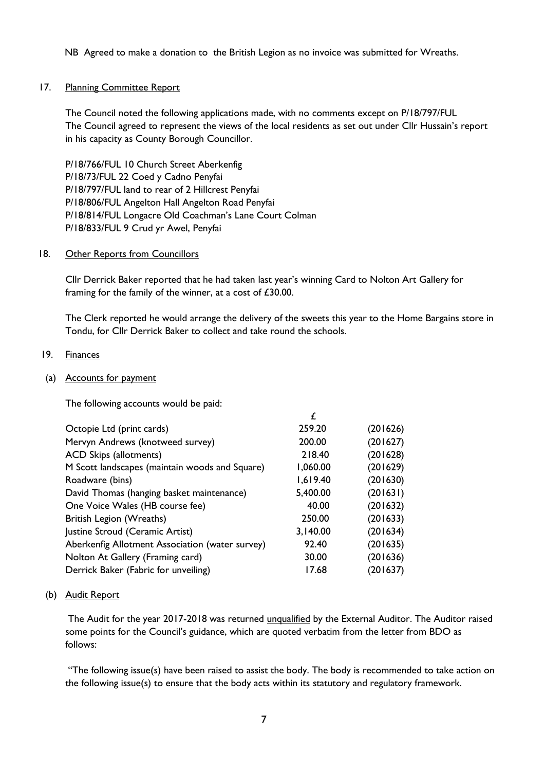NB Agreed to make a donation to the British Legion as no invoice was submitted for Wreaths.

### 17. Planning Committee Report

The Council noted the following applications made, with no comments except on P/18/797/FUL The Council agreed to represent the views of the local residents as set out under Cllr Hussain's report in his capacity as County Borough Councillor.

P/18/766/FUL 10 Church Street Aberkenfig P/18/73/FUL 22 Coed y Cadno Penyfai P/18/797/FUL land to rear of 2 Hillcrest Penyfai P/18/806/FUL Angelton Hall Angelton Road Penyfai P/18/814/FUL Longacre Old Coachman's Lane Court Colman P/18/833/FUL 9 Crud yr Awel, Penyfai

### 18. Other Reports from Councillors

Cllr Derrick Baker reported that he had taken last year's winning Card to Nolton Art Gallery for framing for the family of the winner, at a cost of £30.00.

The Clerk reported he would arrange the delivery of the sweets this year to the Home Bargains store in Tondu, for Cllr Derrick Baker to collect and take round the schools.

# 19. Finances

## (a) Accounts for payment

The following accounts would be paid:

|                                                 | £        |          |
|-------------------------------------------------|----------|----------|
| Octopie Ltd (print cards)                       | 259.20   | (201626) |
| Mervyn Andrews (knotweed survey)                | 200.00   | (201627) |
| <b>ACD Skips (allotments)</b>                   | 218.40   | (201628) |
| M Scott landscapes (maintain woods and Square)  | 1,060.00 | (201629) |
| Roadware (bins)                                 | 1,619.40 | (201630) |
| David Thomas (hanging basket maintenance)       | 5,400.00 | (201631) |
| One Voice Wales (HB course fee)                 | 40.00    | (201632) |
| British Legion (Wreaths)                        | 250.00   | (201633) |
| Justine Stroud (Ceramic Artist)                 | 3,140.00 | (201634) |
| Aberkenfig Allotment Association (water survey) | 92.40    | (201635) |
| Nolton At Gallery (Framing card)                | 30.00    | (201636) |
| Derrick Baker (Fabric for unveiling)            | 17.68    | (201637) |

### (b) Audit Report

The Audit for the year 2017-2018 was returned unqualified by the External Auditor. The Auditor raised some points for the Council's guidance, which are quoted verbatim from the letter from BDO as follows:

"The following issue(s) have been raised to assist the body. The body is recommended to take action on the following issue(s) to ensure that the body acts within its statutory and regulatory framework.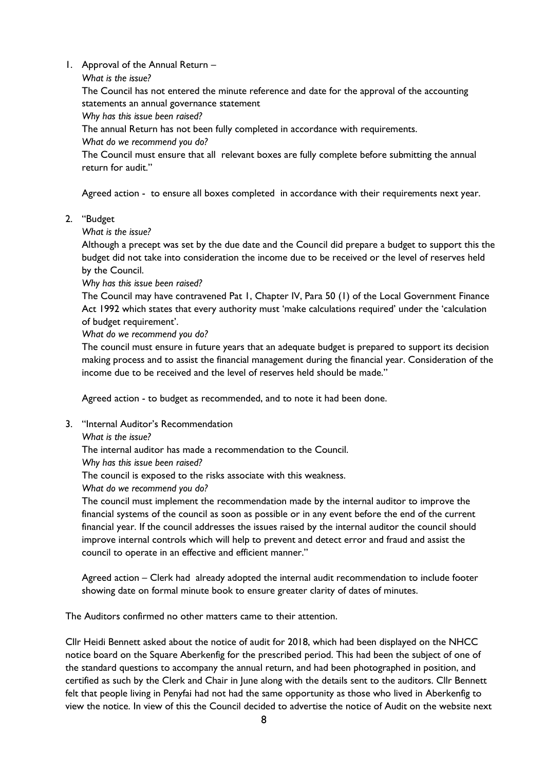1. Approval of the Annual Return –

```
What is the issue?
```
The Council has not entered the minute reference and date for the approval of the accounting statements an annual governance statement

*Why has this issue been raised?*

The annual Return has not been fully completed in accordance with requirements.

*What do we recommend you do?*

The Council must ensure that all relevant boxes are fully complete before submitting the annual return for audit."

Agreed action - to ensure all boxes completed in accordance with their requirements next year.

- 2. "Budget
	- *What is the issue?*

Although a precept was set by the due date and the Council did prepare a budget to support this the budget did not take into consideration the income due to be received or the level of reserves held by the Council.

*Why has this issue been raised?*

The Council may have contravened Pat 1, Chapter IV, Para 50 (1) of the Local Government Finance Act 1992 which states that every authority must 'make calculations required' under the 'calculation of budget requirement'.

*What do we recommend you do?*

The council must ensure in future years that an adequate budget is prepared to support its decision making process and to assist the financial management during the financial year. Consideration of the income due to be received and the level of reserves held should be made."

Agreed action - to budget as recommended, and to note it had been done.

- 3. "Internal Auditor's Recommendation
	- *What is the issue?*

The internal auditor has made a recommendation to the Council.

*Why has this issue been raised?*

The council is exposed to the risks associate with this weakness.

*What do we recommend you do?*

The council must implement the recommendation made by the internal auditor to improve the financial systems of the council as soon as possible or in any event before the end of the current financial year. If the council addresses the issues raised by the internal auditor the council should improve internal controls which will help to prevent and detect error and fraud and assist the council to operate in an effective and efficient manner."

Agreed action – Clerk had already adopted the internal audit recommendation to include footer showing date on formal minute book to ensure greater clarity of dates of minutes.

The Auditors confirmed no other matters came to their attention.

Cllr Heidi Bennett asked about the notice of audit for 2018, which had been displayed on the NHCC notice board on the Square Aberkenfig for the prescribed period. This had been the subject of one of the standard questions to accompany the annual return, and had been photographed in position, and certified as such by the Clerk and Chair in June along with the details sent to the auditors. Cllr Bennett felt that people living in Penyfai had not had the same opportunity as those who lived in Aberkenfig to view the notice. In view of this the Council decided to advertise the notice of Audit on the website next